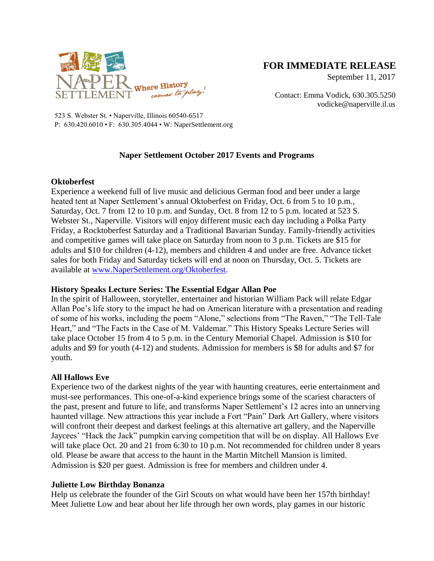

# **FOR IMMEDIATE RELEASE**

September 11, 2017

Contact: Emma Vodick, 630.305.5250 vodicke@naperville.il.us

523 S. Webster St. • Naperville, Illinois 60540-6517 P: 630.420.6010 • F: 630.305.4044 • W: NaperSettlement.org

## **Naper Settlement October 2017 Events and Programs**

#### **Oktoberfest**

Experience a weekend full of live music and delicious German food and beer under a large heated tent at Naper Settlement's annual Oktoberfest on Friday, Oct. 6 from 5 to 10 p.m., Saturday, Oct. 7 from 12 to 10 p.m. and Sunday, Oct. 8 from 12 to 5 p.m. located at 523 S. Webster St., Naperville. Visitors will enjoy different music each day including a Polka Party Friday, a Rocktoberfest Saturday and a Traditional Bavarian Sunday. Family-friendly activities and competitive games will take place on Saturday from noon to 3 p.m. Tickets are \$15 for adults and \$10 for children (4-12), members and children 4 and under are free. Advance ticket sales for both Friday and Saturday tickets will end at noon on Thursday, Oct. 5. Tickets are available at [www.NaperSettlement.org/Oktoberfest.](http://www.napersettlement.org/Oktoberfest)

### **History Speaks Lecture Series: The Essential Edgar Allan Poe**

In the spirit of Halloween, storyteller, entertainer and historian William Pack will relate Edgar Allan Poe's life story to the impact he had on American literature with a presentation and reading of some of his works, including the poem "Alone," selections from "The Raven," "The Tell-Tale Heart," and "The Facts in the Case of M. Valdemar." This History Speaks Lecture Series will take place October 15 from 4 to 5 p.m. in the Century Memorial Chapel. Admission is \$10 for adults and \$9 for youth (4-12) and students. Admission for members is \$8 for adults and \$7 for youth.

### **All Hallows Eve**

Experience two of the darkest nights of the year with haunting creatures, eerie entertainment and must-see performances. This one-of-a-kind experience brings some of the scariest characters of the past, present and future to life, and transforms Naper Settlement's 12 acres into an unnerving haunted village. New attractions this year include a Fort "Pain" Dark Art Gallery, where visitors will confront their deepest and darkest feelings at this alternative art gallery, and the Naperville Jaycees' "Hack the Jack" pumpkin carving competition that will be on display. All Hallows Eve will take place Oct. 20 and 21 from 6:30 to 10 p.m. Not recommended for children under 8 years old. Please be aware that access to the haunt in the Martin Mitchell Mansion is limited. Admission is \$20 per guest. Admission is free for members and children under 4.

### **Juliette Low Birthday Bonanza**

Help us celebrate the founder of the Girl Scouts on what would have been her 157th birthday! Meet Juliette Low and hear about her life through her own words, play games in our historic